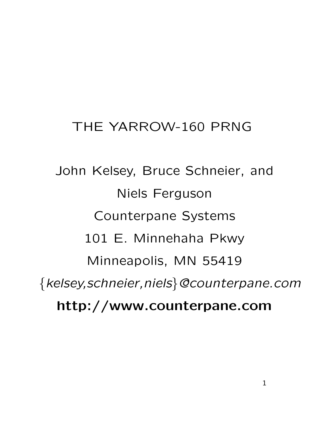#### THE YARROW-160 PRNG

John Kelsey, Bruce Schneier, and Niels Ferguson Counterpane Systems 101 E. Minnehaha Pkwy Minneapolis, MN 55419 {kelsey,schneier,niels}@counterpane.com **http://www.counterpane.com**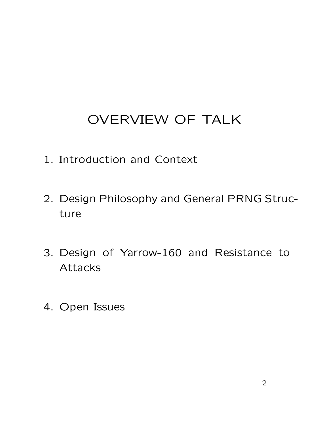## OVERVIEW OF TALK

- 1. Introduction and Context
- 2. Design Philosophy and General PRNG Structure
- 3. Design of Yarrow-160 and Resistance to Attacks
- 4. Open Issues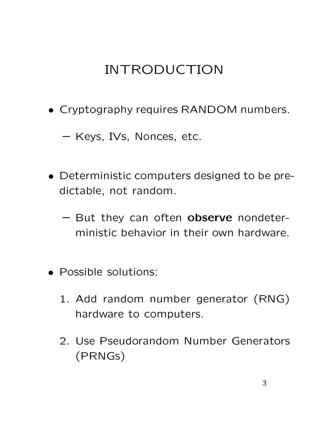# INTRODUCTION

• Cryptography requires RANDOM numbers.

**–** Keys, IVs, Nonces, etc.

- Deterministic computers designed to be predictable, not random.
	- **–** But they can often **observe** nondeterministic behavior in their own hardware.
- Possible solutions:
	- 1. Add random number generator (RNG) hardware to computers.
	- 2. Use Pseudorandom Number Generators (PRNGs)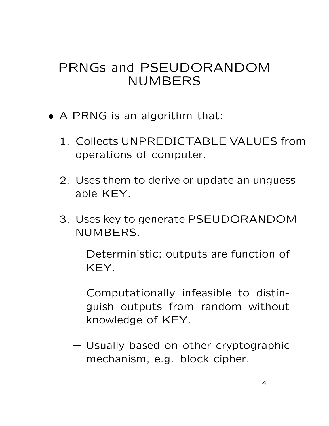#### PRNGs and PSEUDORANDOM NUMBERS

- A PRNG is an algorithm that:
	- 1. Collects UNPREDICTABLE VALUES from operations of computer.
	- 2. Uses them to derive or update an unguessable KEY.
	- 3. Uses key to generate PSEUDORANDOM NUMBERS.
		- **–** Deterministic; outputs are function of KEY.
		- **–** Computationally infeasible to distinguish outputs from random without knowledge of KEY.
		- **–** Usually based on other cryptographic mechanism, e.g. block cipher.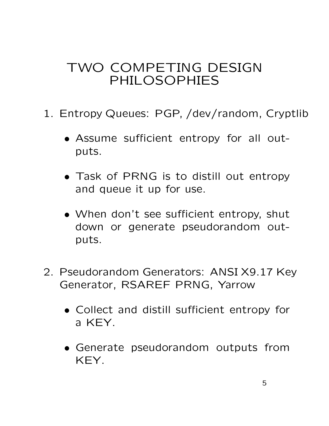#### TWO COMPETING DESIGN PHILOSOPHIES

- 1. Entropy Queues: PGP, /dev/random, Cryptlib
	- Assume sufficient entropy for all outputs.
	- Task of PRNG is to distill out entropy and queue it up for use.
	- When don't see sufficient entropy, shut down or generate pseudorandom outputs.
- 2. Pseudorandom Generators: ANSI X9.17 Key Generator, RSAREF PRNG, Yarrow
	- Collect and distill sufficient entropy for a KEY.
	- Generate pseudorandom outputs from KEY.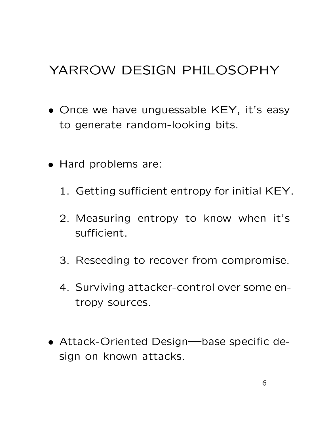## YARROW DESIGN PHILOSOPHY

- Once we have unguessable KEY, it's easy to generate random-looking bits.
- Hard problems are:
	- 1. Getting sufficient entropy for initial KEY.
	- 2. Measuring entropy to know when it's sufficient.
	- 3. Reseeding to recover from compromise.
	- 4. Surviving attacker-control over some entropy sources.
- Attack-Oriented Design—base specific design on known attacks.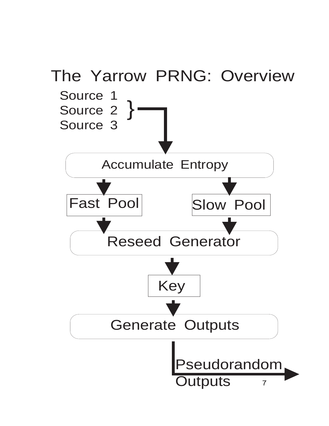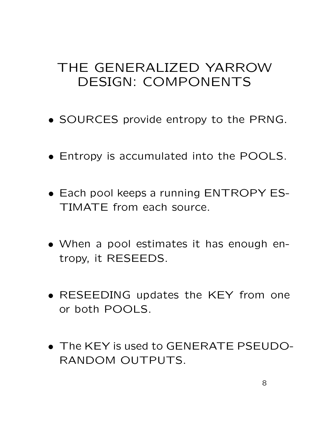#### THE GENERALIZED YARROW DESIGN: COMPONENTS

- SOURCES provide entropy to the PRNG.
- Entropy is accumulated into the POOLS.
- Each pool keeps a running ENTROPY ES-TIMATE from each source.
- When a pool estimates it has enough entropy, it RESEEDS.
- RESEEDING updates the KEY from one or both POOLS.
- The KEY is used to GENERATE PSEUDO-RANDOM OUTPUTS.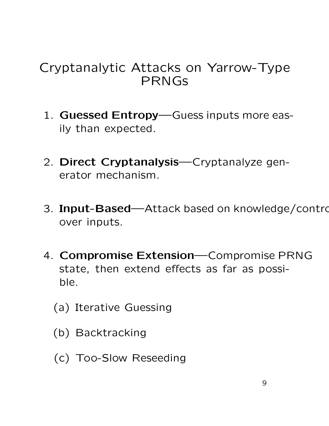#### Cryptanalytic Attacks on Yarrow-Type PRNGs

- 1. **Guessed Entropy**—Guess inputs more easily than expected.
- 2. **Direct Cryptanalysis**—Cryptanalyze generator mechanism.
- 3. **Input-Based**—Attack based on knowledge/contro over inputs.
- 4. **Compromise Extension**—Compromise PRNG state, then extend effects as far as possible.
	- (a) Iterative Guessing
	- (b) Backtracking
	- (c) Too-Slow Reseeding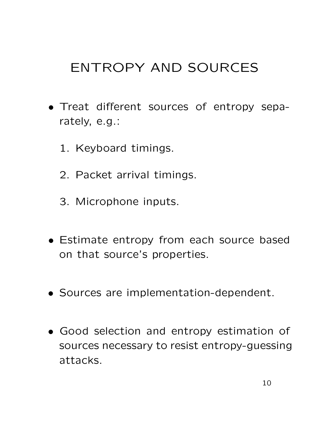## ENTROPY AND SOURCES

- Treat different sources of entropy separately, e.g.:
	- 1. Keyboard timings.
	- 2. Packet arrival timings.
	- 3. Microphone inputs.
- Estimate entropy from each source based on that source's properties.
- Sources are implementation-dependent.
- Good selection and entropy estimation of sources necessary to resist entropy-guessing attacks.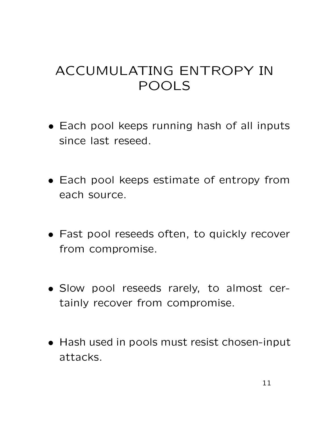### ACCUMULATING ENTROPY IN POOLS

- Each pool keeps running hash of all inputs since last reseed.
- Each pool keeps estimate of entropy from each source.
- Fast pool reseeds often, to quickly recover from compromise.
- Slow pool reseeds rarely, to almost certainly recover from compromise.
- Hash used in pools must resist chosen-input attacks.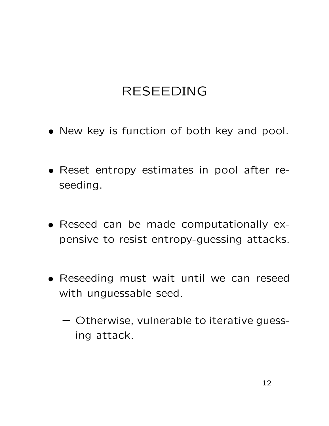#### RESEEDING

- New key is function of both key and pool.
- Reset entropy estimates in pool after reseeding.
- Reseed can be made computationally expensive to resist entropy-guessing attacks.
- Reseeding must wait until we can reseed with unguessable seed.
	- **–** Otherwise, vulnerable to iterative guessing attack.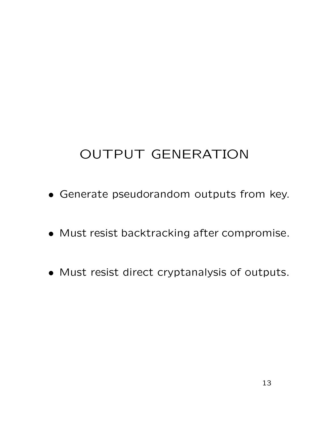# OUTPUT GENERATION

- Generate pseudorandom outputs from key.
- Must resist backtracking after compromise.
- Must resist direct cryptanalysis of outputs.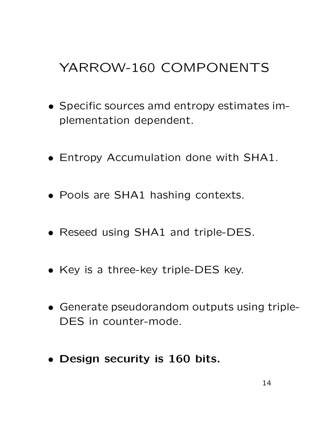## YARROW-160 COMPONENTS

- Specific sources amd entropy estimates implementation dependent.
- Entropy Accumulation done with SHA1.
- Pools are SHA1 hashing contexts.
- Reseed using SHA1 and triple-DES.
- Key is a three-key triple-DES key.
- Generate pseudorandom outputs using triple-DES in counter-mode.
- **Design security is 160 bits.**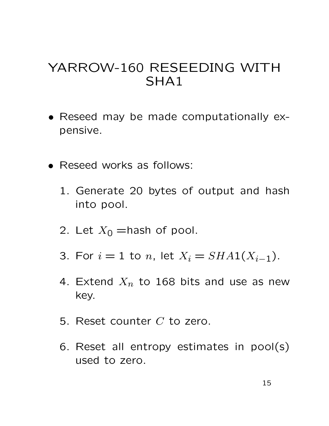#### YARROW-160 RESEEDING WITH SHA1

- Reseed may be made computationally expensive.
- Reseed works as follows:
	- 1. Generate 20 bytes of output and hash into pool.
	- 2. Let  $X_0$  = hash of pool.
	- 3. For  $i = 1$  to n, let  $X_i = SHA(X_{i-1})$ .
	- 4. Extend  $X_n$  to 168 bits and use as new key.
	- 5. Reset counter C to zero.
	- 6. Reset all entropy estimates in pool(s) used to zero.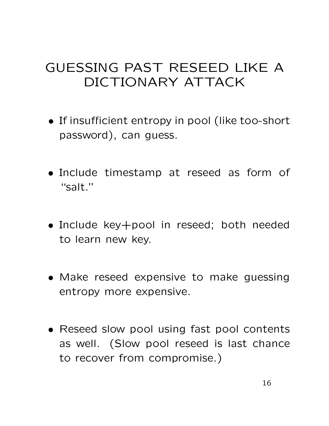### GUESSING PAST RESEED LIKE A DICTIONARY ATTACK

- If insufficient entropy in pool (like too-short password), can guess.
- Include timestamp at reseed as form of "salt."
- Include key+pool in reseed; both needed to learn new key.
- Make reseed expensive to make guessing entropy more expensive.
- Reseed slow pool using fast pool contents as well. (Slow pool reseed is last chance to recover from compromise.)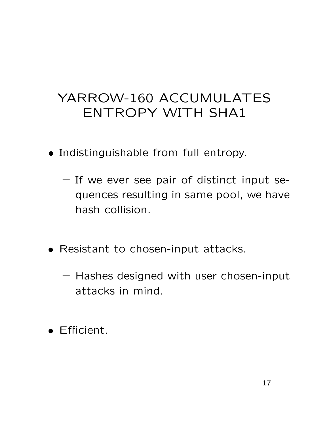### YARROW-160 ACCUMULATES ENTROPY WITH SHA1

- Indistinguishable from full entropy.
	- **–** If we ever see pair of distinct input sequences resulting in same pool, we have hash collision.
- Resistant to chosen-input attacks.
	- **–** Hashes designed with user chosen-input attacks in mind.
- Efficient.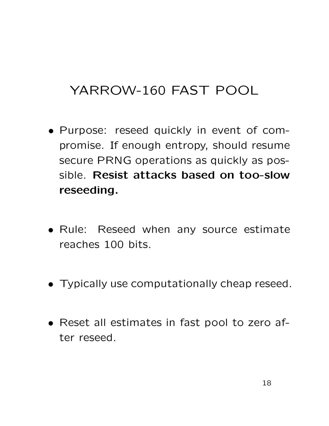### YARROW-160 FAST POOL

- Purpose: reseed quickly in event of compromise. If enough entropy, should resume secure PRNG operations as quickly as possible. **Resist attacks based on too-slow reseeding.**
- Rule: Reseed when any source estimate reaches 100 bits.
- Typically use computationally cheap reseed.
- Reset all estimates in fast pool to zero after reseed.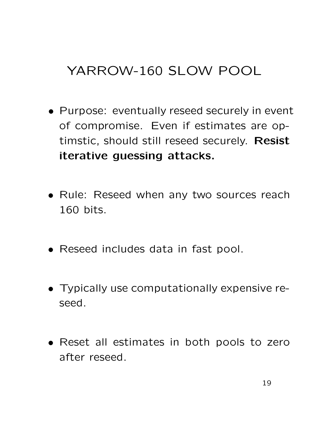## YARROW-160 SLOW POOL

- Purpose: eventually reseed securely in event of compromise. Even if estimates are optimstic, should still reseed securely. **Resist iterative guessing attacks.**
- Rule: Reseed when any two sources reach 160 bits.
- Reseed includes data in fast pool.
- Typically use computationally expensive reseed.
- Reset all estimates in both pools to zero after reseed.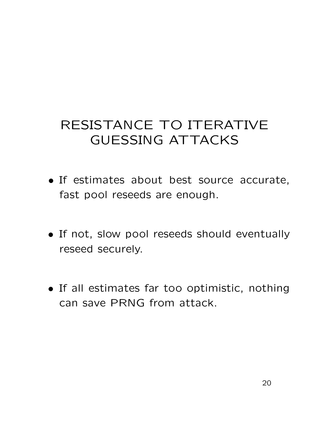## RESISTANCE TO ITERATIVE GUESSING ATTACKS

- If estimates about best source accurate, fast pool reseeds are enough.
- If not, slow pool reseeds should eventually reseed securely.
- If all estimates far too optimistic, nothing can save PRNG from attack.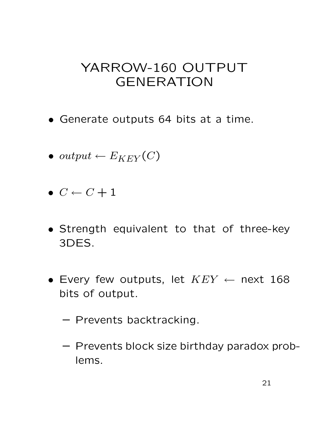#### YARROW-160 OUTPUT GENERATION

- Generate outputs 64 bits at a time.
- output  $\leftarrow E_{KEY}(C)$
- $\bullet \ \ C \leftarrow C + 1$
- Strength equivalent to that of three-key 3DES.
- Every few outputs, let  $KEY \leftarrow$  next 168 bits of output.
	- **–** Prevents backtracking.
	- **–** Prevents block size birthday paradox problems.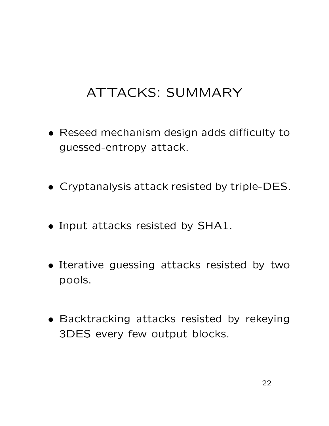### ATTACKS: SUMMARY

- Reseed mechanism design adds difficulty to guessed-entropy attack.
- Cryptanalysis attack resisted by triple-DES.
- Input attacks resisted by SHA1.
- Iterative guessing attacks resisted by two pools.
- Backtracking attacks resisted by rekeying 3DES every few output blocks.